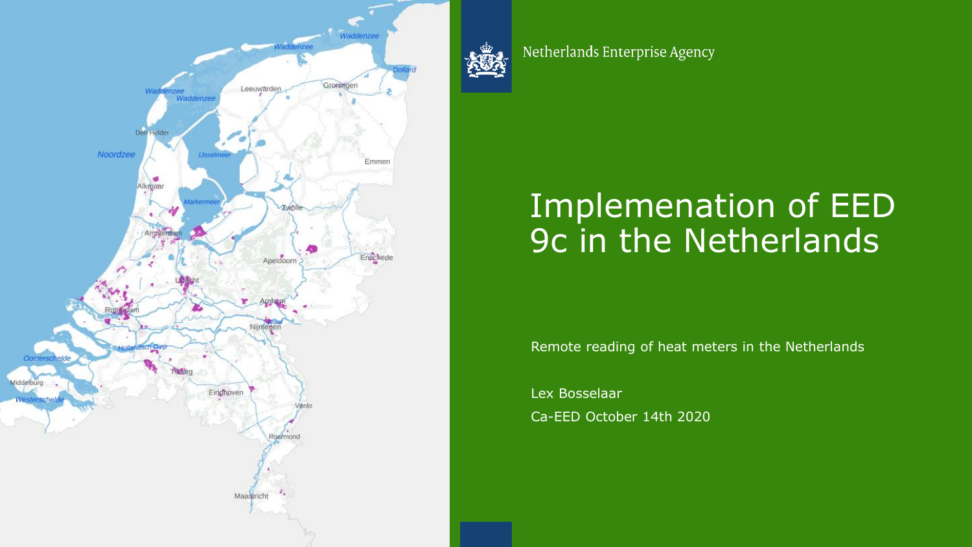



Netherlands Enterprise Agency

#### Implemenation of EED 9c in the Netherlands

Remote reading of heat meters in the Netherlands

Lex Bosselaar Ca-EED October 14th 2020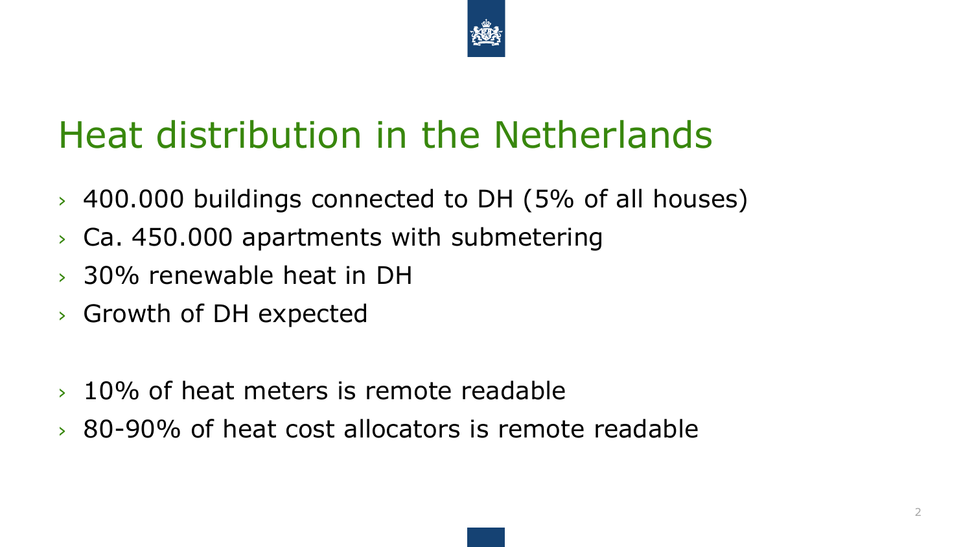

## Heat distribution in the Netherlands

- › 400.000 buildings connected to DH (5% of all houses)
- › Ca. 450.000 apartments with submetering
- › 30% renewable heat in DH
- › Growth of DH expected
- › 10% of heat meters is remote readable
- › 80-90% of heat cost allocators is remote readable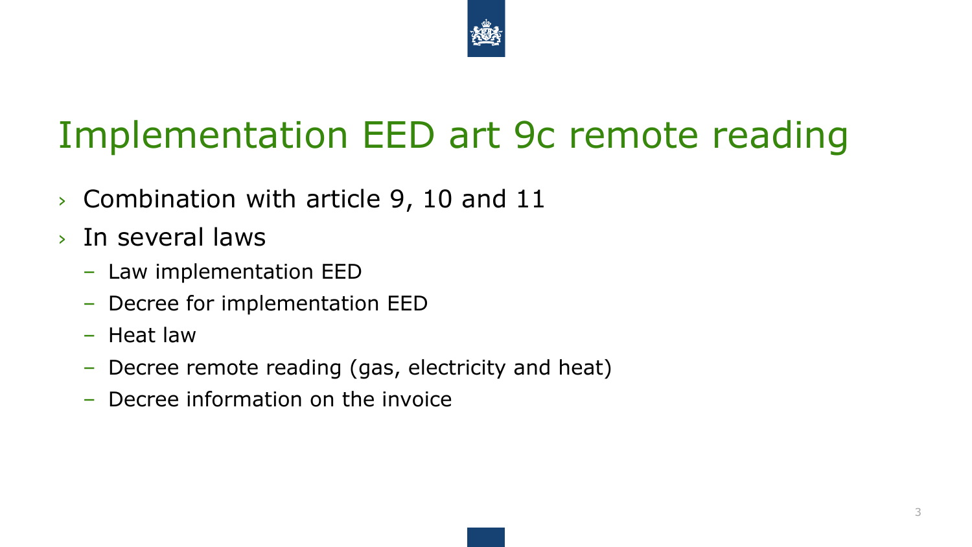

## Implementation EED art 9c remote reading

- › Combination with article 9, 10 and 11
- › In several laws
	- Law implementation EED
	- Decree for implementation EED
	- Heat law
	- Decree remote reading (gas, electricity and heat)
	- Decree information on the invoice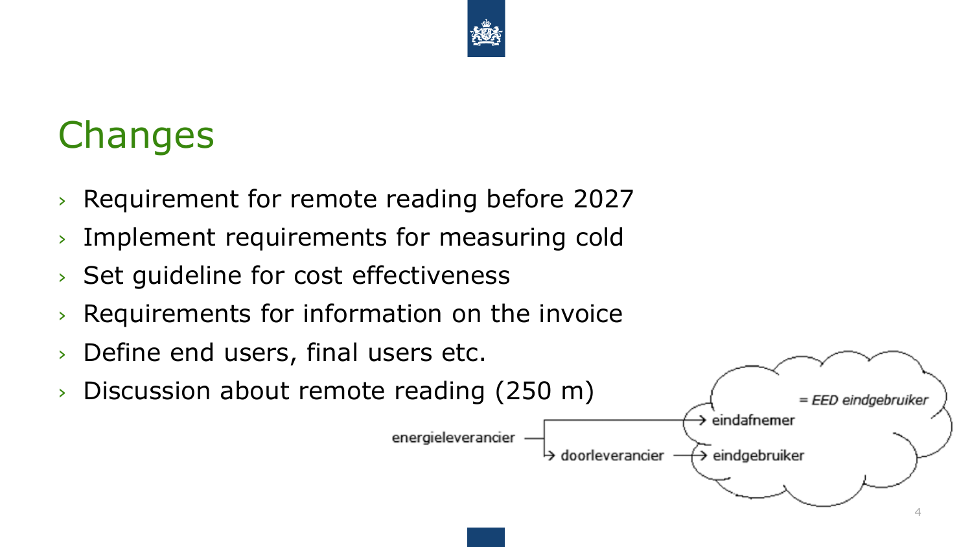

## **Changes**

- › Requirement for remote reading before 2027
- › Implement requirements for measuring cold
- › Set guideline for cost effectiveness
- › Requirements for information on the invoice
- › Define end users, final users etc.
- › Discussion about remote reading (250 m)

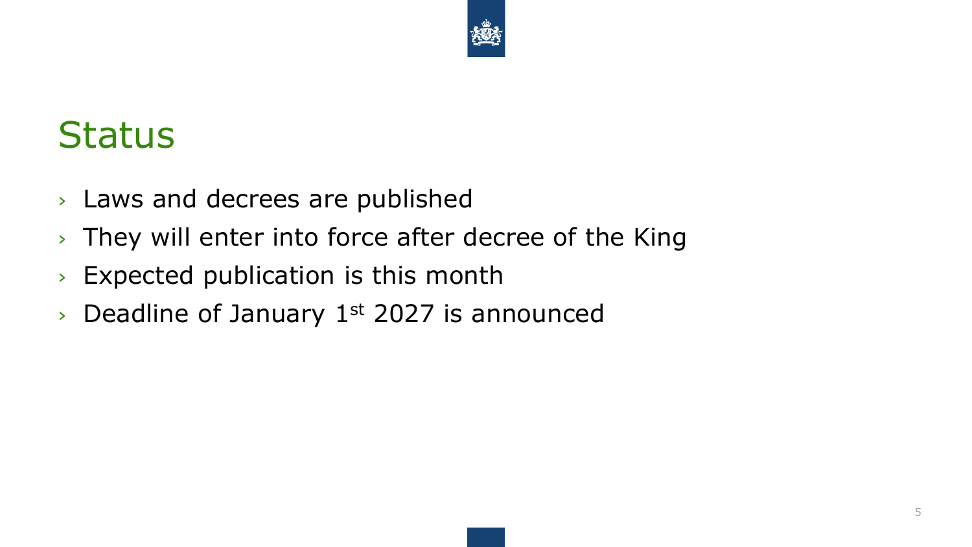

### **Status**

- › Laws and decrees are published
- › They will enter into force after decree of the King
- › Expected publication is this month
- $\rightarrow$  Deadline of January 1st 2027 is announced